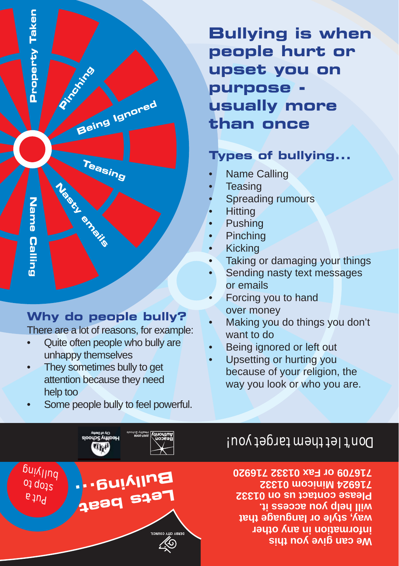**Bullying is when people hurt or upset you on purpose usually more than once**

## **Types of bullying...**

- Name Calling •
- **Teasing** •
- Spreading rumours •
- **Hitting** •
- Pushing •
- Pinching •
- Kicking •
- Taking or damaging your things •
- Sending nasty text messages or emails •
- Forcing you to hand over money •
- Making you do things you don't want to do •
- Being ignored or left out •
- Upsetting or hurting you because of your religion, the way you look or who you are. •

# Don't let them target you!

**We can give you this information in any other way, style or language that will help you access it. Please contact us on 01332 716924 Minicom 01332 716709 or Fax 01332 716920**

## **Why do people bully?**

**Property Taken**

Property Taken

**Name Calling**

**Calling** 

**Name** 

**Pinching** 

**Being Ignored**

**Teasing**

**Nasty emails**

There are a lot of reasons, for example:

- Quite often people who bully are unhappy themselves •
- They sometimes bully to get attention because they need help too •
- Some people bully to feel powerful. •

pdag to your very<br>ydeg the your